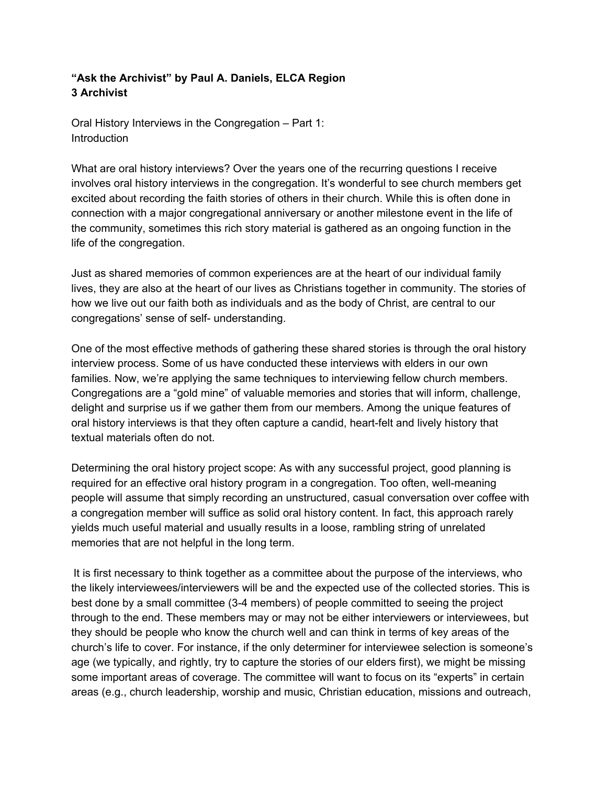## **"Ask the Archivist" by Paul A. Daniels, ELCA Region 3 Archivist**

Oral History Interviews in the Congregation – Part 1: **Introduction** 

What are oral history interviews? Over the years one of the recurring questions I receive involves oral history interviews in the congregation. It's wonderful to see church members get excited about recording the faith stories of others in their church. While this is often done in connection with a major congregational anniversary or another milestone event in the life of the community, sometimes this rich story material is gathered as an ongoing function in the life of the congregation.

Just as shared memories of common experiences are at the heart of our individual family lives, they are also at the heart of our lives as Christians together in community. The stories of how we live out our faith both as individuals and as the body of Christ, are central to our congregations' sense of self- understanding.

One of the most effective methods of gathering these shared stories is through the oral history interview process. Some of us have conducted these interviews with elders in our own families. Now, we're applying the same techniques to interviewing fellow church members. Congregations are a "gold mine" of valuable memories and stories that will inform, challenge, delight and surprise us if we gather them from our members. Among the unique features of oral history interviews is that they often capture a candid, heart-felt and lively history that textual materials often do not.

Determining the oral history project scope: As with any successful project, good planning is required for an effective oral history program in a congregation. Too often, well-meaning people will assume that simply recording an unstructured, casual conversation over coffee with a congregation member will suffice as solid oral history content. In fact, this approach rarely yields much useful material and usually results in a loose, rambling string of unrelated memories that are not helpful in the long term.

It is first necessary to think together as a committee about the purpose of the interviews, who the likely interviewees/interviewers will be and the expected use of the collected stories. This is best done by a small committee (3-4 members) of people committed to seeing the project through to the end. These members may or may not be either interviewers or interviewees, but they should be people who know the church well and can think in terms of key areas of the church's life to cover. For instance, if the only determiner for interviewee selection is someone's age (we typically, and rightly, try to capture the stories of our elders first), we might be missing some important areas of coverage. The committee will want to focus on its "experts" in certain areas (e.g., church leadership, worship and music, Christian education, missions and outreach,